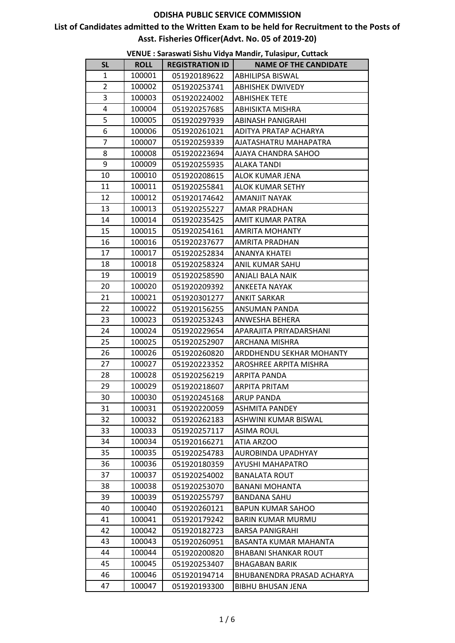# **List of Candidates admitted to the Written Exam to be held for Recruitment to the Posts of Asst. Fisheries Officer(Advt. No. 05 of 2019-20)**

|                |             |                        | vLIVOL . Jaraswati Jishu viuya iviahun, Tulasipur, Cuttach |
|----------------|-------------|------------------------|------------------------------------------------------------|
| <b>SL</b>      | <b>ROLL</b> | <b>REGISTRATION ID</b> | <b>NAME OF THE CANDIDATE</b>                               |
| $\mathbf{1}$   | 100001      | 051920189622           | ABHILIPSA BISWAL                                           |
| $\overline{2}$ | 100002      | 051920253741           | <b>ABHISHEK DWIVEDY</b>                                    |
| 3              | 100003      | 051920224002           | <b>ABHISHEK TETE</b>                                       |
| 4              | 100004      | 051920257685           | <b>ABHISIKTA MISHRA</b>                                    |
| 5              | 100005      | 051920297939           | <b>ABINASH PANIGRAHI</b>                                   |
| 6              | 100006      | 051920261021           | ADITYA PRATAP ACHARYA                                      |
| 7              | 100007      | 051920259339           | AJATASHATRU MAHAPATRA                                      |
| 8              | 100008      | 051920223694           | AJAYA CHANDRA SAHOO                                        |
| 9              | 100009      | 051920255935           | ALAKA TANDI                                                |
| 10             | 100010      | 051920208615           | ALOK KUMAR JENA                                            |
| 11             | 100011      | 051920255841           | <b>ALOK KUMAR SETHY</b>                                    |
| 12             | 100012      | 051920174642           | <b>AMANJIT NAYAK</b>                                       |
| 13             | 100013      | 051920255227           | <b>AMAR PRADHAN</b>                                        |
| 14             | 100014      | 051920235425           | AMIT KUMAR PATRA                                           |
| 15             | 100015      | 051920254161           | <b>AMRITA MOHANTY</b>                                      |
| 16             | 100016      | 051920237677           | <b>AMRITA PRADHAN</b>                                      |
| 17             | 100017      | 051920252834           | <b>ANANYA KHATEI</b>                                       |
| 18             | 100018      | 051920258324           | ANIL KUMAR SAHU                                            |
| 19             | 100019      | 051920258590           | ANJALI BALA NAIK                                           |
| 20             | 100020      | 051920209392           | ANKEETA NAYAK                                              |
| 21             | 100021      | 051920301277           | <b>ANKIT SARKAR</b>                                        |
| 22             | 100022      | 051920156255           | ANSUMAN PANDA                                              |
| 23             | 100023      | 051920253243           | ANWESHA BEHERA                                             |
| 24             | 100024      | 051920229654           | APARAJITA PRIYADARSHANI                                    |
| 25             | 100025      | 051920252907           | ARCHANA MISHRA                                             |
| 26             | 100026      | 051920260820           | ARDDHENDU SEKHAR MOHANTY                                   |
| 27             | 100027      | 051920223352           | AROSHREE ARPITA MISHRA                                     |
| 28             | 100028      | 051920256219           | ARPITA PANDA                                               |
| 29             | 100029      | 051920218607           | <b>ARPITA PRITAM</b>                                       |
| 30             | 100030      | 051920245168           | <b>ARUP PANDA</b>                                          |
| 31             | 100031      | 051920220059           | <b>ASHMITA PANDEY</b>                                      |
| 32             | 100032      | 051920262183           | ASHWINI KUMAR BISWAL                                       |
| 33             | 100033      | 051920257117           | <b>ASIMA ROUL</b>                                          |
| 34             | 100034      | 051920166271           | ATIA ARZOO                                                 |
| 35             | 100035      | 051920254783           | AUROBINDA UPADHYAY                                         |
| 36             | 100036      | 051920180359           | AYUSHI MAHAPATRO                                           |
| 37             | 100037      | 051920254002           | <b>BANALATA ROUT</b>                                       |
| 38             | 100038      | 051920253070           | <b>BANANI MOHANTA</b>                                      |
| 39             | 100039      | 051920255797           | <b>BANDANA SAHU</b>                                        |
| 40             | 100040      | 051920260121           | <b>BAPUN KUMAR SAHOO</b>                                   |
| 41             | 100041      | 051920179242           | <b>BARIN KUMAR MURMU</b>                                   |
| 42             | 100042      | 051920182723           | <b>BARSA PANIGRAHI</b>                                     |
| 43             | 100043      | 051920260951           | BASANTA KUMAR MAHANTA                                      |
| 44             | 100044      | 051920200820           | <b>BHABANI SHANKAR ROUT</b>                                |
| 45             | 100045      | 051920253407           | <b>BHAGABAN BARIK</b>                                      |
| 46             | 100046      | 051920194714           | BHUBANENDRA PRASAD ACHARYA                                 |
| 47             | 100047      | 051920193300           | <b>BIBHU BHUSAN JENA</b>                                   |
|                |             |                        |                                                            |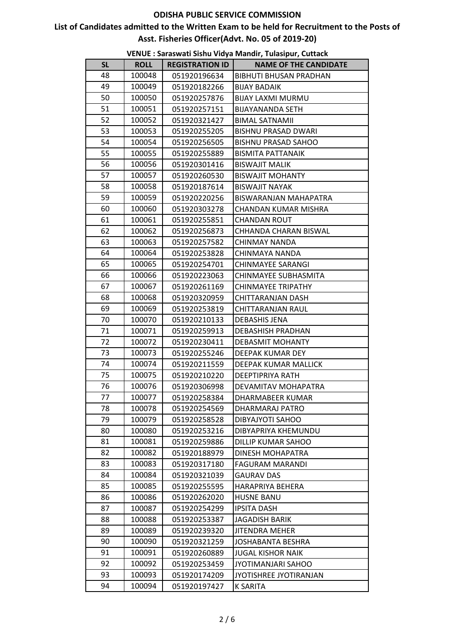# **List of Candidates admitted to the Written Exam to be held for Recruitment to the Posts of Asst. Fisheries Officer(Advt. No. 05 of 2019-20)**

| <b>SL</b> | <b>ROLL</b> | <b>REGISTRATION ID</b> | <b>NAME OF THE CANDIDATE</b>  |
|-----------|-------------|------------------------|-------------------------------|
| 48        | 100048      | 051920196634           | <b>BIBHUTI BHUSAN PRADHAN</b> |
| 49        | 100049      | 051920182266           | <b>BIJAY BADAIK</b>           |
| 50        | 100050      | 051920257876           | <b>BIJAY LAXMI MURMU</b>      |
| 51        | 100051      | 051920257151           | <b>BIJAYANANDA SETH</b>       |
| 52        | 100052      | 051920321427           | <b>BIMAL SATNAMII</b>         |
| 53        | 100053      | 051920255205           | <b>BISHNU PRASAD DWARI</b>    |
| 54        | 100054      | 051920256505           | <b>BISHNU PRASAD SAHOO</b>    |
| 55        | 100055      | 051920255889           | <b>BISMITA PATTANAIK</b>      |
| 56        | 100056      | 051920301416           | <b>BISWAJIT MALIK</b>         |
| 57        | 100057      | 051920260530           | <b>BISWAJIT MOHANTY</b>       |
| 58        | 100058      | 051920187614           | <b>BISWAJIT NAYAK</b>         |
| 59        | 100059      | 051920220256           | BISWARANJAN MAHAPATRA         |
| 60        | 100060      | 051920303278           | CHANDAN KUMAR MISHRA          |
| 61        | 100061      | 051920255851           | <b>CHANDAN ROUT</b>           |
| 62        | 100062      | 051920256873           | CHHANDA CHARAN BISWAL         |
| 63        | 100063      | 051920257582           | CHINMAY NANDA                 |
| 64        | 100064      | 051920253828           | CHINMAYA NANDA                |
| 65        | 100065      | 051920254701           | <b>CHINMAYEE SARANGI</b>      |
| 66        | 100066      | 051920223063           | CHINMAYEE SUBHASMITA          |
| 67        | 100067      | 051920261169           | <b>CHINMAYEE TRIPATHY</b>     |
| 68        | 100068      | 051920320959           | CHITTARANJAN DASH             |
| 69        | 100069      | 051920253819           | CHITTARANJAN RAUL             |
| 70        | 100070      | 051920210133           | <b>DEBASHIS JENA</b>          |
| 71        | 100071      | 051920259913           | DEBASHISH PRADHAN             |
| 72        | 100072      | 051920230411           | DEBASMIT MOHANTY              |
| 73        | 100073      | 051920255246           | DEEPAK KUMAR DEY              |
| 74        | 100074      | 051920211559           | DEEPAK KUMAR MALLICK          |
| 75        | 100075      | 051920210220           | DEEPTIPRIYA RATH              |
| 76        | 100076      | 051920306998           | DEVAMITAV MOHAPATRA           |
| 77        | 100077      | 051920258384           | DHARMABEER KUMAR              |
| 78        | 100078      | 051920254569           | DHARMARAJ PATRO               |
| 79        | 100079      | 051920258528           | DIBYAJYOTI SAHOO              |
| 80        | 100080      | 051920253216           | DIBYAPRIYA KHEMUNDU           |
| 81        | 100081      | 051920259886           | DILLIP KUMAR SAHOO            |
| 82        | 100082      | 051920188979           | DINESH MOHAPATRA              |
| 83        | 100083      | 051920317180           | FAGURAM MARANDI               |
| 84        | 100084      | 051920321039           | <b>GAURAV DAS</b>             |
| 85        | 100085      | 051920255595           | HARAPRIYA BEHERA              |
| 86        | 100086      | 051920262020           | <b>HUSNE BANU</b>             |
| 87        | 100087      | 051920254299           | <b>IPSITA DASH</b>            |
| 88        | 100088      | 051920253387           | <b>JAGADISH BARIK</b>         |
| 89        | 100089      | 051920239320           | <b>JITENDRA MEHER</b>         |
| 90        | 100090      | 051920321259           | JOSHABANTA BESHRA             |
| 91        | 100091      | 051920260889           | <b>JUGAL KISHOR NAIK</b>      |
| 92        | 100092      | 051920253459           | JYOTIMANJARI SAHOO            |
| 93        | 100093      | 051920174209           | JYOTISHREE JYOTIRANJAN        |
| 94        | 100094      | 051920197427           | <b>K SARITA</b>               |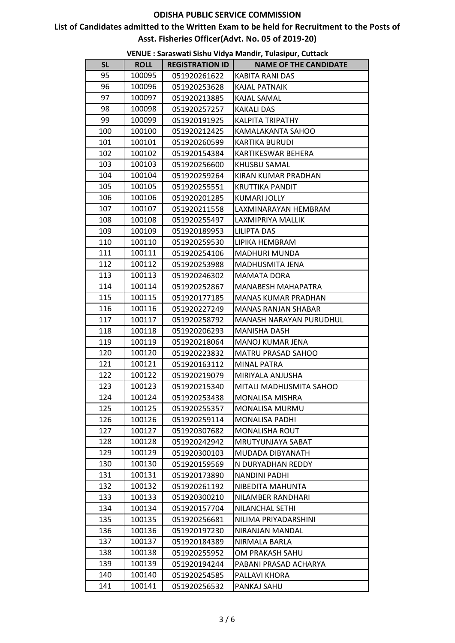# **List of Candidates admitted to the Written Exam to be held for Recruitment to the Posts of Asst. Fisheries Officer(Advt. No. 05 of 2019-20)**

|           |             |                        | vENOE : Jaraswati Jisha viuya iviahun, Tulasipur, Cuttach |
|-----------|-------------|------------------------|-----------------------------------------------------------|
| <b>SL</b> | <b>ROLL</b> | <b>REGISTRATION ID</b> | <b>NAME OF THE CANDIDATE</b>                              |
| 95        | 100095      | 051920261622           | KABITA RANI DAS                                           |
| 96        | 100096      | 051920253628           | KAJAL PATNAIK                                             |
| 97        | 100097      | 051920213885           | KAJAL SAMAL                                               |
| 98        | 100098      | 051920257257           | <b>KAKALI DAS</b>                                         |
| 99        | 100099      | 051920191925           | <b>KALPITA TRIPATHY</b>                                   |
| 100       | 100100      | 051920212425           | KAMALAKANTA SAHOO                                         |
| 101       | 100101      | 051920260599           | <b>KARTIKA BURUDI</b>                                     |
| 102       | 100102      | 051920154384           | KARTIKESWAR BEHERA                                        |
| 103       | 100103      | 051920256600           | KHUSBU SAMAL                                              |
| 104       | 100104      | 051920259264           | KIRAN KUMAR PRADHAN                                       |
| 105       | 100105      | 051920255551           | <b>KRUTTIKA PANDIT</b>                                    |
| 106       | 100106      | 051920201285           | KUMARI JOLLY                                              |
| 107       | 100107      | 051920211558           | LAXMINARAYAN HEMBRAM                                      |
| 108       | 100108      | 051920255497           | LAXMIPRIYA MALLIK                                         |
| 109       | 100109      | 051920189953           | <b>LILIPTA DAS</b>                                        |
| 110       | 100110      | 051920259530           | LIPIKA HEMBRAM                                            |
| 111       | 100111      | 051920254106           | <b>MADHURI MUNDA</b>                                      |
| 112       | 100112      | 051920253988           | MADHUSMITA JENA                                           |
| 113       | 100113      | 051920246302           | <b>MAMATA DORA</b>                                        |
| 114       | 100114      | 051920252867           | MANABESH MAHAPATRA                                        |
| 115       | 100115      | 051920177185           | MANAS KUMAR PRADHAN                                       |
| 116       | 100116      | 051920227249           | <b>MANAS RANJAN SHABAR</b>                                |
| 117       | 100117      | 051920258792           | MANASH NARAYAN PURUDHUL                                   |
| 118       | 100118      | 051920206293           | MANISHA DASH                                              |
| 119       | 100119      | 051920218064           | MANOJ KUMAR JENA                                          |
| 120       | 100120      | 051920223832           | MATRU PRASAD SAHOO                                        |
| 121       | 100121      | 051920163112           | <b>MINAL PATRA</b>                                        |
| 122       | 100122      | 051920219079           | MIRIYALA ANJUSHA                                          |
| 123       | 100123      | 051920215340           | MITALI MADHUSMITA SAHOO                                   |
| 124       | 100124      | 051920253438           | MONALISA MISHRA                                           |
| 125       | 100125      | 051920255357           | MONALISA MURMU                                            |
| 126       | 100126      | 051920259114           | <b>MONALISA PADHI</b>                                     |
| 127       | 100127      | 051920307682           | MONALISHA ROUT                                            |
| 128       | 100128      | 051920242942           | MRUTYUNJAYA SABAT                                         |
| 129       | 100129      | 051920300103           | MUDADA DIBYANATH                                          |
| 130       | 100130      | 051920159569           | N DURYADHAN REDDY                                         |
| 131       | 100131      | 051920173890           | NANDINI PADHI                                             |
| 132       | 100132      | 051920261192           | NIBEDITA MAHUNTA                                          |
| 133       | 100133      | 051920300210           | NILAMBER RANDHARI                                         |
| 134       | 100134      | 051920157704           | NILANCHAL SETHI                                           |
| 135       | 100135      | 051920256681           | NILIMA PRIYADARSHINI                                      |
| 136       | 100136      | 051920197230           | NIRANJAN MANDAL                                           |
| 137       | 100137      | 051920184389           | NIRMALA BARLA                                             |
| 138       | 100138      | 051920255952           | OM PRAKASH SAHU                                           |
| 139       | 100139      | 051920194244           | PABANI PRASAD ACHARYA                                     |
| 140       | 100140      | 051920254585           | PALLAVI KHORA                                             |
| 141       | 100141      | 051920256532           | PANKAJ SAHU                                               |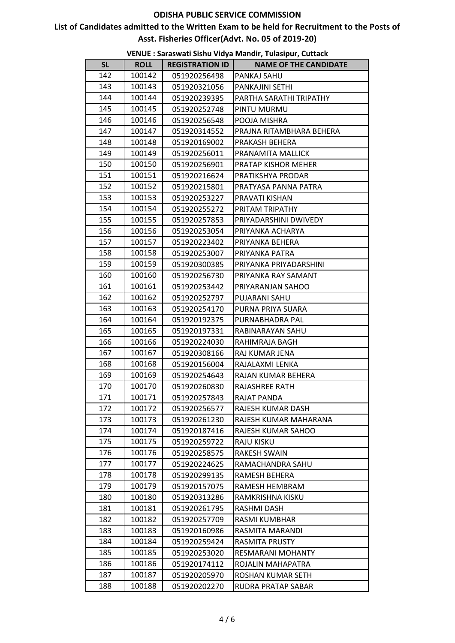# **List of Candidates admitted to the Written Exam to be held for Recruitment to the Posts of Asst. Fisheries Officer(Advt. No. 05 of 2019-20)**

|           |             |                        | villor . Jaraswali Jishu viuya mahun, rulasipur, cullach |
|-----------|-------------|------------------------|----------------------------------------------------------|
| <b>SL</b> | <b>ROLL</b> | <b>REGISTRATION ID</b> | <b>NAME OF THE CANDIDATE</b>                             |
| 142       | 100142      | 051920256498           | PANKAJ SAHU                                              |
| 143       | 100143      | 051920321056           | PANKAJINI SETHI                                          |
| 144       | 100144      | 051920239395           | PARTHA SARATHI TRIPATHY                                  |
| 145       | 100145      | 051920252748           | PINTU MURMU                                              |
| 146       | 100146      | 051920256548           | POOJA MISHRA                                             |
| 147       | 100147      | 051920314552           | PRAJNA RITAMBHARA BEHERA                                 |
| 148       | 100148      | 051920169002           | PRAKASH BEHERA                                           |
| 149       | 100149      | 051920256011           | PRANAMITA MALLICK                                        |
| 150       | 100150      | 051920256901           | PRATAP KISHOR MEHER                                      |
| 151       | 100151      | 051920216624           | PRATIKSHYA PRODAR                                        |
| 152       | 100152      | 051920215801           | PRATYASA PANNA PATRA                                     |
| 153       | 100153      | 051920253227           | PRAVATI KISHAN                                           |
| 154       | 100154      | 051920255272           | PRITAM TRIPATHY                                          |
| 155       | 100155      | 051920257853           | PRIYADARSHINI DWIVEDY                                    |
| 156       | 100156      | 051920253054           | PRIYANKA ACHARYA                                         |
| 157       | 100157      | 051920223402           | PRIYANKA BEHERA                                          |
| 158       | 100158      | 051920253007           | PRIYANKA PATRA                                           |
| 159       | 100159      | 051920300385           | PRIYANKA PRIYADARSHINI                                   |
| 160       | 100160      | 051920256730           | PRIYANKA RAY SAMANT                                      |
| 161       | 100161      | 051920253442           | PRIYARANJAN SAHOO                                        |
| 162       | 100162      | 051920252797           | PUJARANI SAHU                                            |
| 163       | 100163      | 051920254170           | PURNA PRIYA SUARA                                        |
| 164       | 100164      | 051920192375           | PURNABHADRA PAL                                          |
| 165       | 100165      | 051920197331           | RABINARAYAN SAHU                                         |
| 166       | 100166      | 051920224030           | RAHIMRAJA BAGH                                           |
| 167       | 100167      | 051920308166           | RAJ KUMAR JENA                                           |
| 168       | 100168      | 051920156004           | RAJALAXMI LENKA                                          |
| 169       | 100169      | 051920254643           | RAJAN KUMAR BEHERA                                       |
| 170       | 100170      | 051920260830           | RAJASHREE RATH                                           |
| 171       | 100171      | 051920257843           | RAJAT PANDA                                              |
| 172       | 100172      | 051920256577           | RAJESH KUMAR DASH                                        |
| 173       | 100173      | 051920261230           | RAJESH KUMAR MAHARANA                                    |
| 174       | 100174      | 051920187416           | RAJESH KUMAR SAHOO                                       |
| 175       | 100175      | 051920259722           | RAJU KISKU                                               |
| 176       | 100176      | 051920258575           | RAKESH SWAIN                                             |
| 177       | 100177      | 051920224625           | RAMACHANDRA SAHU                                         |
| 178       | 100178      | 051920299135           | RAMESH BEHERA                                            |
| 179       | 100179      | 051920157075           | RAMESH HEMBRAM                                           |
| 180       | 100180      | 051920313286           | RAMKRISHNA KISKU                                         |
| 181       | 100181      | 051920261795           | RASHMI DASH                                              |
| 182       | 100182      | 051920257709           | RASMI KUMBHAR                                            |
| 183       | 100183      | 051920160986           | RASMITA MARANDI                                          |
| 184       | 100184      | 051920259424           | RASMITA PRUSTY                                           |
| 185       | 100185      | 051920253020           | RESMARANI MOHANTY                                        |
| 186       | 100186      | 051920174112           | ROJALIN MAHAPATRA                                        |
| 187       | 100187      | 051920205970           | ROSHAN KUMAR SETH                                        |
| 188       | 100188      | 051920202270           | RUDRA PRATAP SABAR                                       |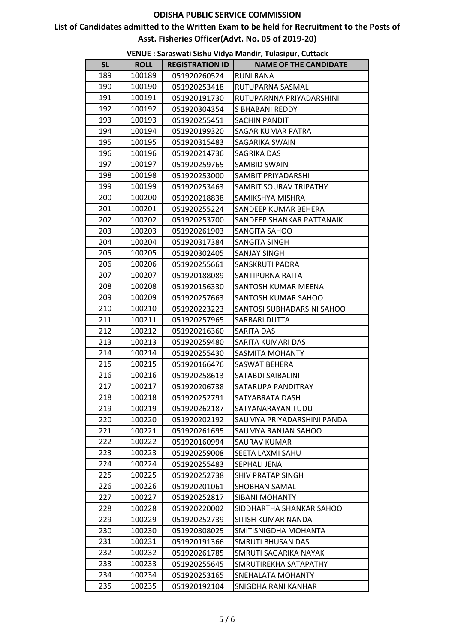# **List of Candidates admitted to the Written Exam to be held for Recruitment to the Posts of Asst. Fisheries Officer(Advt. No. 05 of 2019-20)**

|           |             |                        | vENOE : Jaraswati Jisha viuya Mahun, Tulasipur, Cuttach |
|-----------|-------------|------------------------|---------------------------------------------------------|
| <b>SL</b> | <b>ROLL</b> | <b>REGISTRATION ID</b> | <b>NAME OF THE CANDIDATE</b>                            |
| 189       | 100189      | 051920260524           | <b>RUNI RANA</b>                                        |
| 190       | 100190      | 051920253418           | RUTUPARNA SASMAL                                        |
| 191       | 100191      | 051920191730           | RUTUPARNNA PRIYADARSHINI                                |
| 192       | 100192      | 051920304354           | S BHABANI REDDY                                         |
| 193       | 100193      | 051920255451           | SACHIN PANDIT                                           |
| 194       | 100194      | 051920199320           | SAGAR KUMAR PATRA                                       |
| 195       | 100195      | 051920315483           | SAGARIKA SWAIN                                          |
| 196       | 100196      | 051920214736           | SAGRIKA DAS                                             |
| 197       | 100197      | 051920259765           | SAMBID SWAIN                                            |
| 198       | 100198      | 051920253000           | SAMBIT PRIYADARSHI                                      |
| 199       | 100199      | 051920253463           | SAMBIT SOURAV TRIPATHY                                  |
| 200       | 100200      | 051920218838           | SAMIKSHYA MISHRA                                        |
| 201       | 100201      | 051920255224           | SANDEEP KUMAR BEHERA                                    |
| 202       | 100202      | 051920253700           | SANDEEP SHANKAR PATTANAIK                               |
| 203       | 100203      | 051920261903           | SANGITA SAHOO                                           |
| 204       | 100204      | 051920317384           | SANGITA SINGH                                           |
| 205       | 100205      | 051920302405           | <b>SANJAY SINGH</b>                                     |
| 206       | 100206      | 051920255661           | SANSKRUTI PADRA                                         |
| 207       | 100207      | 051920188089           | SANTIPURNA RAITA                                        |
| 208       | 100208      | 051920156330           | SANTOSH KUMAR MEENA                                     |
| 209       | 100209      | 051920257663           | SANTOSH KUMAR SAHOO                                     |
| 210       | 100210      | 051920223223           | SANTOSI SUBHADARSINI SAHOO                              |
| 211       | 100211      | 051920257965           | SARBARI DUTTA                                           |
| 212       | 100212      | 051920216360           | SARITA DAS                                              |
| 213       | 100213      | 051920259480           | SARITA KUMARI DAS                                       |
| 214       | 100214      | 051920255430           | SASMITA MOHANTY                                         |
| 215       | 100215      | 051920166476           | SASWAT BEHERA                                           |
| 216       | 100216      | 051920258613           | SATABDI SAIBALINI                                       |
| 217       | 100217      | 051920206738           | SATARUPA PANDITRAY                                      |
| 218       | 100218      | 051920252791           | SATYABRATA DASH                                         |
| 219       | 100219      | 051920262187           | SATYANARAYAN TUDU                                       |
| 220       | 100220      | 051920202192           | SAUMYA PRIYADARSHINI PANDA                              |
| 221       | 100221      | 051920261695           | SAUMYA RANJAN SAHOO                                     |
| 222       | 100222      | 051920160994           | SAURAV KUMAR                                            |
| 223       | 100223      | 051920259008           | SEETA LAXMI SAHU                                        |
| 224       | 100224      | 051920255483           | SEPHALI JENA                                            |
| 225       | 100225      | 051920252738           | <b>SHIV PRATAP SINGH</b>                                |
| 226       | 100226      | 051920201061           | SHOBHAN SAMAL                                           |
| 227       | 100227      | 051920252817           | <b>SIBANI MOHANTY</b>                                   |
| 228       | 100228      | 051920220002           | SIDDHARTHA SHANKAR SAHOO                                |
| 229       | 100229      | 051920252739           | SITISH KUMAR NANDA                                      |
| 230       | 100230      | 051920308025           | SMITISNIGDHA MOHANTA                                    |
| 231       | 100231      | 051920191366           | SMRUTI BHUSAN DAS                                       |
| 232       | 100232      | 051920261785           | SMRUTI SAGARIKA NAYAK                                   |
| 233       | 100233      | 051920255645           | SMRUTIREKHA SATAPATHY                                   |
| 234       | 100234      | 051920253165           | SNEHALATA MOHANTY                                       |
| 235       | 100235      | 051920192104           | SNIGDHA RANI KANHAR                                     |